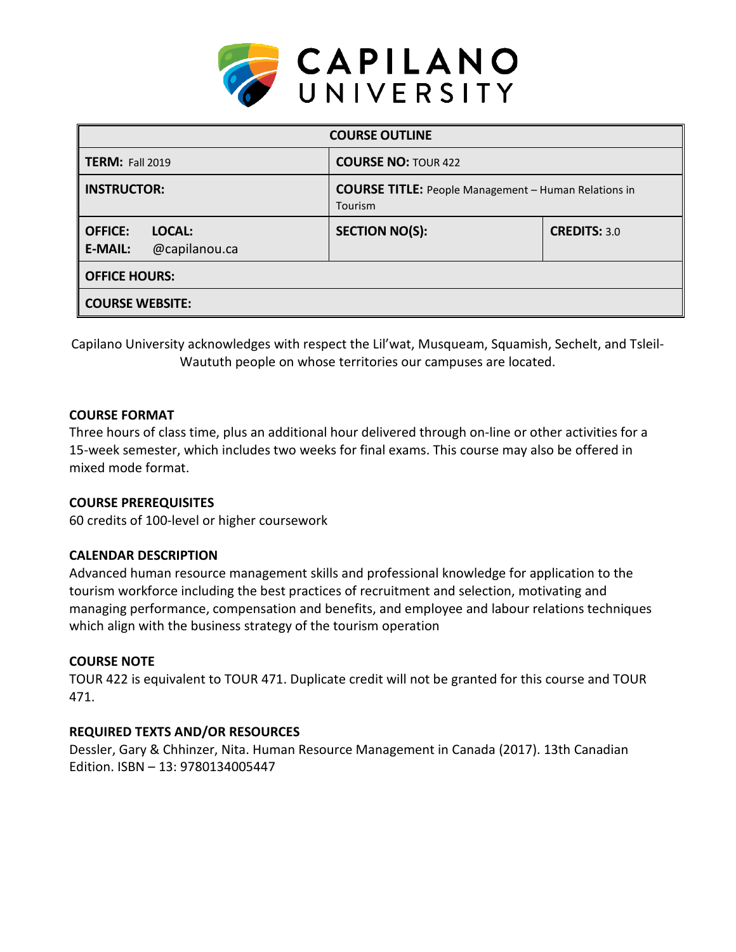

| <b>COURSE OUTLINE</b>                                       |                                                                        |                     |  |  |  |
|-------------------------------------------------------------|------------------------------------------------------------------------|---------------------|--|--|--|
| <b>TERM: Fall 2019</b>                                      | <b>COURSE NO: TOUR 422</b>                                             |                     |  |  |  |
| <b>INSTRUCTOR:</b>                                          | <b>COURSE TITLE:</b> People Management - Human Relations in<br>Tourism |                     |  |  |  |
| <b>OFFICE:</b><br>LOCAL:<br>@capilanou.ca<br><b>E-MAIL:</b> | <b>SECTION NO(S):</b>                                                  | <b>CREDITS: 3.0</b> |  |  |  |
| <b>OFFICE HOURS:</b>                                        |                                                                        |                     |  |  |  |
| <b>COURSE WEBSITE:</b>                                      |                                                                        |                     |  |  |  |

Capilano University acknowledges with respect the Lil'wat, Musqueam, Squamish, Sechelt, and Tsleil-Waututh people on whose territories our campuses are located.

## **COURSE FORMAT**

Three hours of class time, plus an additional hour delivered through on-line or other activities for a 15-week semester, which includes two weeks for final exams. This course may also be offered in mixed mode format.

### **COURSE PREREQUISITES**

60 credits of 100-level or higher coursework

#### **CALENDAR DESCRIPTION**

Advanced human resource management skills and professional knowledge for application to the tourism workforce including the best practices of recruitment and selection, motivating and managing performance, compensation and benefits, and employee and labour relations techniques which align with the business strategy of the tourism operation

#### **COURSE NOTE**

TOUR 422 is equivalent to TOUR 471. Duplicate credit will not be granted for this course and TOUR 471.

## **REQUIRED TEXTS AND/OR RESOURCES**

Dessler, Gary & Chhinzer, Nita. Human Resource Management in Canada (2017). 13th Canadian Edition. ISBN – 13: 9780134005447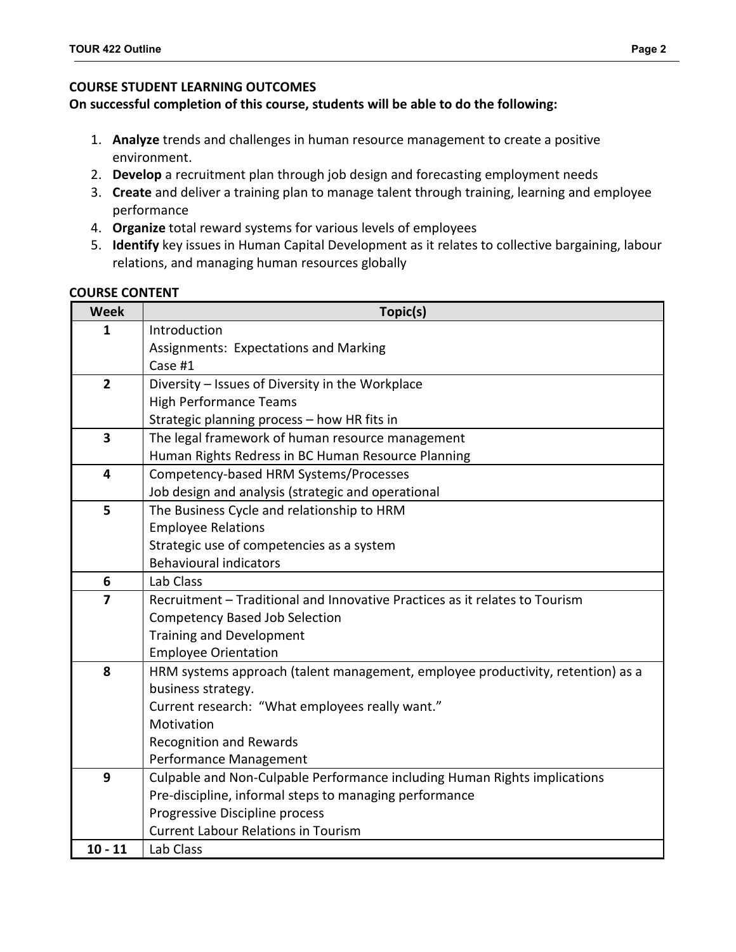## **COURSE STUDENT LEARNING OUTCOMES**

### **On successful completion of this course, students will be able to do the following:**

- 1. **Analyze** trends and challenges in human resource management to create a positive environment.
- 2. **Develop** a recruitment plan through job design and forecasting employment needs
- 3. **Create** and deliver a training plan to manage talent through training, learning and employee performance
- 4. **Organize** total reward systems for various levels of employees
- 5. **Identify** key issues in Human Capital Development as it relates to collective bargaining, labour relations, and managing human resources globally

#### **COURSE CONTENT**

| <b>Week</b>             | Topic(s)                                                                        |  |  |  |  |  |
|-------------------------|---------------------------------------------------------------------------------|--|--|--|--|--|
| 1                       | Introduction                                                                    |  |  |  |  |  |
|                         | Assignments: Expectations and Marking                                           |  |  |  |  |  |
|                         | Case #1                                                                         |  |  |  |  |  |
| $\overline{2}$          | Diversity - Issues of Diversity in the Workplace                                |  |  |  |  |  |
|                         | <b>High Performance Teams</b>                                                   |  |  |  |  |  |
|                         | Strategic planning process - how HR fits in                                     |  |  |  |  |  |
| $\overline{\mathbf{3}}$ | The legal framework of human resource management                                |  |  |  |  |  |
|                         | Human Rights Redress in BC Human Resource Planning                              |  |  |  |  |  |
| 4                       | Competency-based HRM Systems/Processes                                          |  |  |  |  |  |
|                         | Job design and analysis (strategic and operational                              |  |  |  |  |  |
| 5                       | The Business Cycle and relationship to HRM                                      |  |  |  |  |  |
|                         | <b>Employee Relations</b>                                                       |  |  |  |  |  |
|                         | Strategic use of competencies as a system                                       |  |  |  |  |  |
|                         | <b>Behavioural indicators</b>                                                   |  |  |  |  |  |
| 6                       | Lab Class                                                                       |  |  |  |  |  |
| $\overline{7}$          | Recruitment - Traditional and Innovative Practices as it relates to Tourism     |  |  |  |  |  |
|                         | <b>Competency Based Job Selection</b>                                           |  |  |  |  |  |
|                         | <b>Training and Development</b>                                                 |  |  |  |  |  |
|                         | <b>Employee Orientation</b>                                                     |  |  |  |  |  |
| 8                       | HRM systems approach (talent management, employee productivity, retention) as a |  |  |  |  |  |
|                         | business strategy.                                                              |  |  |  |  |  |
|                         | Current research: "What employees really want."                                 |  |  |  |  |  |
|                         | Motivation                                                                      |  |  |  |  |  |
|                         | <b>Recognition and Rewards</b>                                                  |  |  |  |  |  |
|                         | Performance Management                                                          |  |  |  |  |  |
| 9                       | Culpable and Non-Culpable Performance including Human Rights implications       |  |  |  |  |  |
|                         | Pre-discipline, informal steps to managing performance                          |  |  |  |  |  |
|                         | Progressive Discipline process                                                  |  |  |  |  |  |
|                         | <b>Current Labour Relations in Tourism</b>                                      |  |  |  |  |  |
| $10 - 11$               | Lab Class                                                                       |  |  |  |  |  |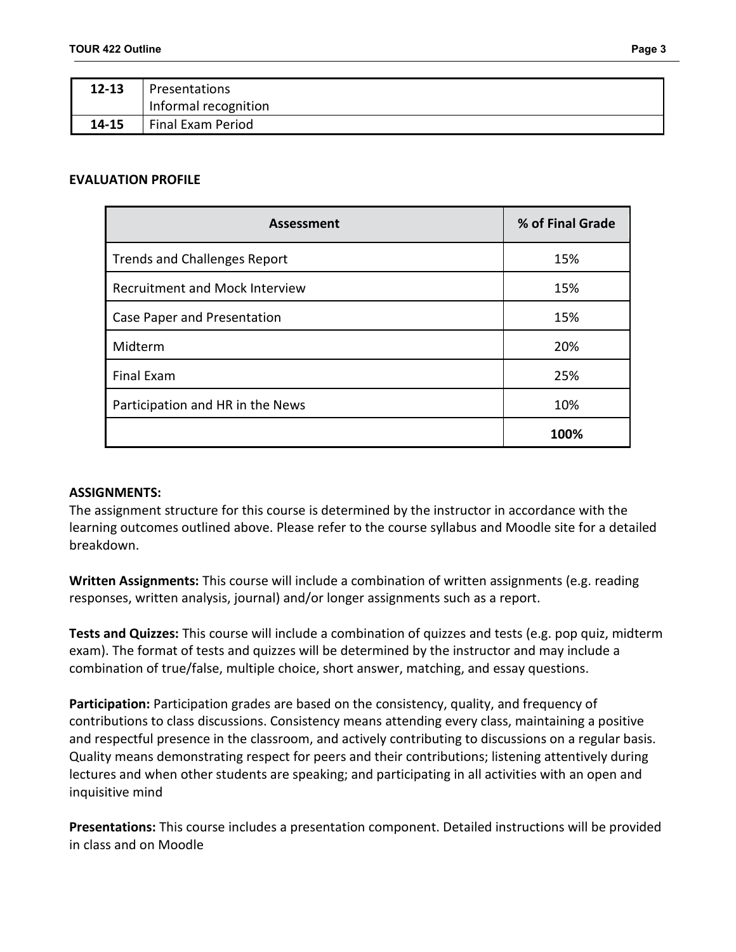| $12 - 13$ | Presentations        |
|-----------|----------------------|
|           | Informal recognition |
| 14-15     | Final Exam Period    |

#### **EVALUATION PROFILE**

| <b>Assessment</b>                     | % of Final Grade |
|---------------------------------------|------------------|
| <b>Trends and Challenges Report</b>   | 15%              |
| <b>Recruitment and Mock Interview</b> | 15%              |
| Case Paper and Presentation           | 15%              |
| Midterm                               | 20%              |
| <b>Final Exam</b>                     | 25%              |
| Participation and HR in the News      | 10%              |
|                                       | 100%             |

#### **ASSIGNMENTS:**

The assignment structure for this course is determined by the instructor in accordance with the learning outcomes outlined above. Please refer to the course syllabus and Moodle site for a detailed breakdown.

**Written Assignments:** This course will include a combination of written assignments (e.g. reading responses, written analysis, journal) and/or longer assignments such as a report.

**Tests and Quizzes:** This course will include a combination of quizzes and tests (e.g. pop quiz, midterm exam). The format of tests and quizzes will be determined by the instructor and may include a combination of true/false, multiple choice, short answer, matching, and essay questions.

**Participation:** Participation grades are based on the consistency, quality, and frequency of contributions to class discussions. Consistency means attending every class, maintaining a positive and respectful presence in the classroom, and actively contributing to discussions on a regular basis. Quality means demonstrating respect for peers and their contributions; listening attentively during lectures and when other students are speaking; and participating in all activities with an open and inquisitive mind

**Presentations:** This course includes a presentation component. Detailed instructions will be provided in class and on Moodle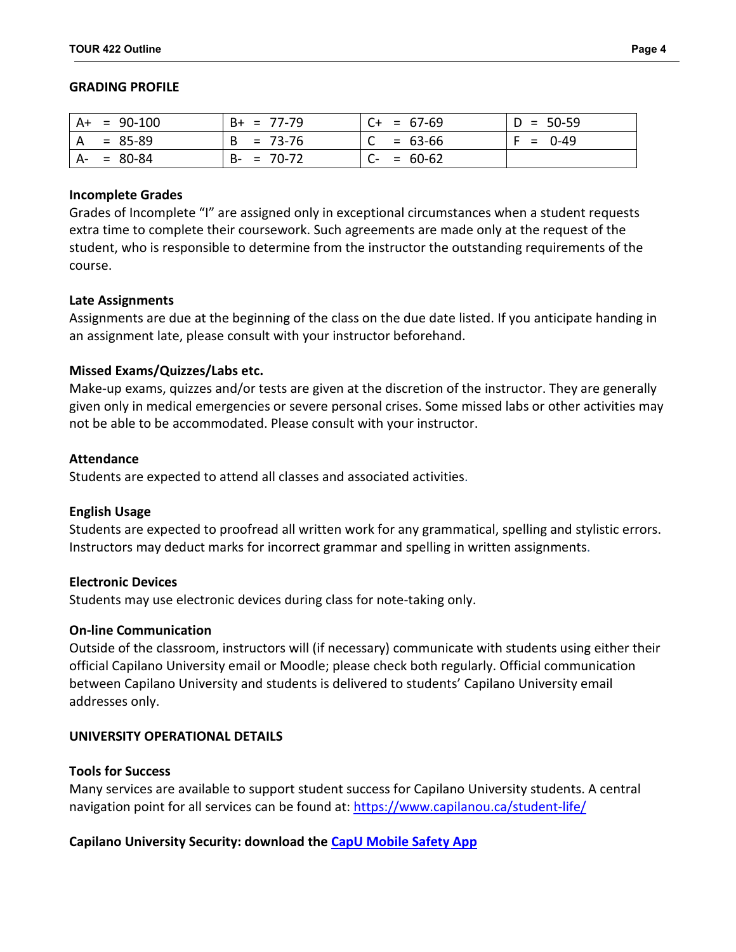#### **GRADING PROFILE**

|    | $A+ = 90-100$ | $B+ = 77-79$    | $C+ = 67-69$    | $D = 50-59$ |
|----|---------------|-----------------|-----------------|-------------|
| A  | $= 85 - 89$   | $B = 73-76$     | $= 63-66$       | $F = 0-49$  |
| A- | = 80-84       | $= 70-72$<br>B- | $= 60-62$<br>U- |             |

#### **Incomplete Grades**

Grades of Incomplete "I" are assigned only in exceptional circumstances when a student requests extra time to complete their coursework. Such agreements are made only at the request of the student, who is responsible to determine from the instructor the outstanding requirements of the course.

#### **Late Assignments**

Assignments are due at the beginning of the class on the due date listed. If you anticipate handing in an assignment late, please consult with your instructor beforehand.

#### **Missed Exams/Quizzes/Labs etc.**

Make-up exams, quizzes and/or tests are given at the discretion of the instructor. They are generally given only in medical emergencies or severe personal crises. Some missed labs or other activities may not be able to be accommodated. Please consult with your instructor.

#### **Attendance**

Students are expected to attend all classes and associated activities.

#### **English Usage**

Students are expected to proofread all written work for any grammatical, spelling and stylistic errors. Instructors may deduct marks for incorrect grammar and spelling in written assignments.

#### **Electronic Devices**

Students may use electronic devices during class for note-taking only.

#### **On-line Communication**

Outside of the classroom, instructors will (if necessary) communicate with students using either their official Capilano University email or Moodle; please check both regularly. Official communication between Capilano University and students is delivered to students' Capilano University email addresses only.

#### **UNIVERSITY OPERATIONAL DETAILS**

#### **Tools for Success**

Many services are available to support student success for Capilano University students. A central navigation point for all services can be found at:<https://www.capilanou.ca/student-life/>

#### **Capilano University Security: download the [CapU Mobile Safety App](https://www.capilanou.ca/student-life/support--wellness/safety--security/capu-safe-app/)**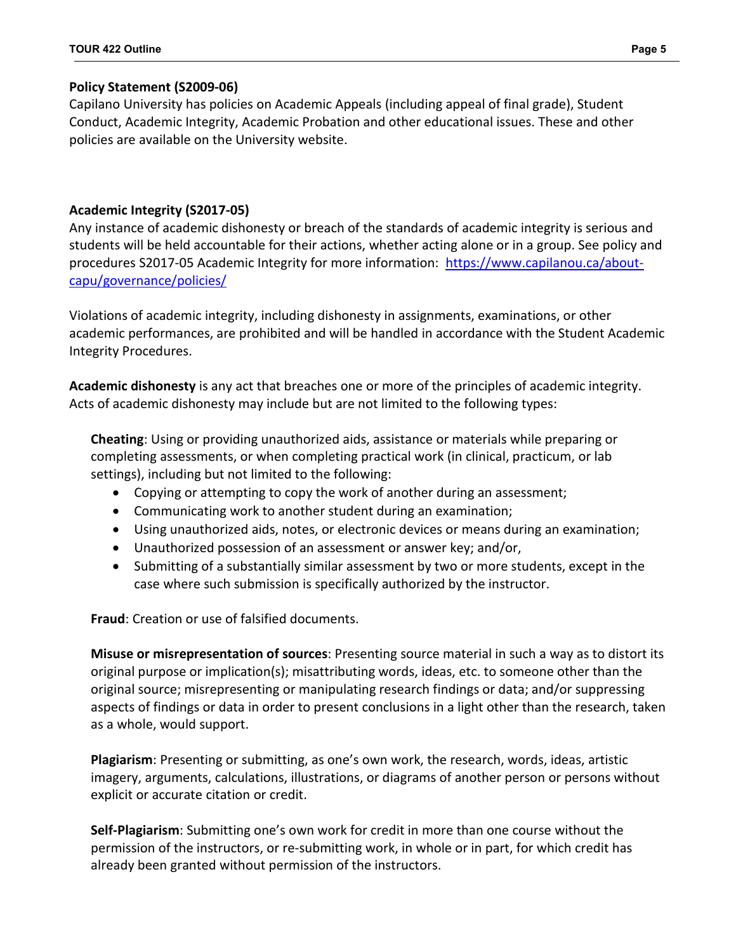# **Policy Statement (S2009-06)**

Capilano University has policies on Academic Appeals (including appeal of final grade), Student Conduct, Academic Integrity, Academic Probation and other educational issues. These and other policies are available on the University website.

# **Academic Integrity (S2017-05)**

Any instance of academic dishonesty or breach of the standards of academic integrity is serious and students will be held accountable for their actions, whether acting alone or in a group. See policy and procedures S2017-05 Academic Integrity for more information: [https://www.capilanou.ca/about](https://www.capilanou.ca/about-capu/governance/policies/)[capu/governance/policies/](https://www.capilanou.ca/about-capu/governance/policies/)

Violations of academic integrity, including dishonesty in assignments, examinations, or other academic performances, are prohibited and will be handled in accordance with the Student Academic Integrity Procedures.

**Academic dishonesty** is any act that breaches one or more of the principles of academic integrity. Acts of academic dishonesty may include but are not limited to the following types:

**Cheating**: Using or providing unauthorized aids, assistance or materials while preparing or completing assessments, or when completing practical work (in clinical, practicum, or lab settings), including but not limited to the following:

- Copying or attempting to copy the work of another during an assessment;
- Communicating work to another student during an examination;
- Using unauthorized aids, notes, or electronic devices or means during an examination;
- Unauthorized possession of an assessment or answer key; and/or,
- Submitting of a substantially similar assessment by two or more students, except in the case where such submission is specifically authorized by the instructor.

**Fraud**: Creation or use of falsified documents.

**Misuse or misrepresentation of sources**: Presenting source material in such a way as to distort its original purpose or implication(s); misattributing words, ideas, etc. to someone other than the original source; misrepresenting or manipulating research findings or data; and/or suppressing aspects of findings or data in order to present conclusions in a light other than the research, taken as a whole, would support.

**Plagiarism**: Presenting or submitting, as one's own work, the research, words, ideas, artistic imagery, arguments, calculations, illustrations, or diagrams of another person or persons without explicit or accurate citation or credit.

**Self-Plagiarism**: Submitting one's own work for credit in more than one course without the permission of the instructors, or re-submitting work, in whole or in part, for which credit has already been granted without permission of the instructors.